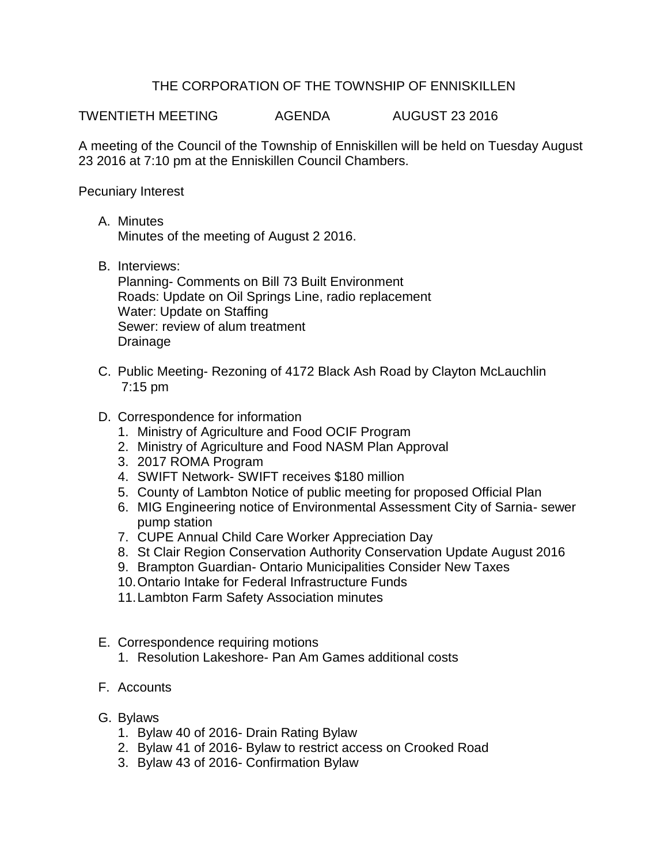## THE CORPORATION OF THE TOWNSHIP OF ENNISKILLEN

TWENTIETH MEETING AGENDA AUGUST 23 2016

A meeting of the Council of the Township of Enniskillen will be held on Tuesday August 23 2016 at 7:10 pm at the Enniskillen Council Chambers.

Pecuniary Interest

- A. Minutes Minutes of the meeting of August 2 2016.
- B. Interviews:

Planning- Comments on Bill 73 Built Environment Roads: Update on Oil Springs Line, radio replacement Water: Update on Staffing Sewer: review of alum treatment Drainage

- C. Public Meeting- Rezoning of 4172 Black Ash Road by Clayton McLauchlin 7:15 pm
- D. Correspondence for information
	- 1. Ministry of Agriculture and Food OCIF Program
	- 2. Ministry of Agriculture and Food NASM Plan Approval
	- 3. 2017 ROMA Program
	- 4. SWIFT Network- SWIFT receives \$180 million
	- 5. County of Lambton Notice of public meeting for proposed Official Plan
	- 6. MIG Engineering notice of Environmental Assessment City of Sarnia- sewer pump station
	- 7. CUPE Annual Child Care Worker Appreciation Day
	- 8. St Clair Region Conservation Authority Conservation Update August 2016
	- 9. Brampton Guardian- Ontario Municipalities Consider New Taxes
	- 10.Ontario Intake for Federal Infrastructure Funds
	- 11.Lambton Farm Safety Association minutes
- E. Correspondence requiring motions
	- 1. Resolution Lakeshore- Pan Am Games additional costs
- F. Accounts
- G. Bylaws
	- 1. Bylaw 40 of 2016- Drain Rating Bylaw
	- 2. Bylaw 41 of 2016- Bylaw to restrict access on Crooked Road
	- 3. Bylaw 43 of 2016- Confirmation Bylaw